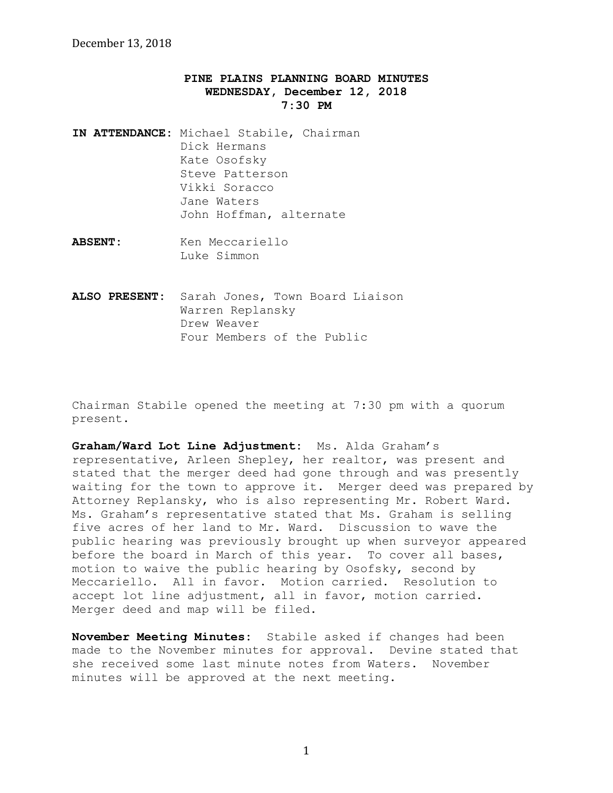## **PINE PLAINS PLANNING BOARD MINUTES WEDNESDAY, December 12, 2018 7:30 PM**

- **IN ATTENDANCE:** Michael Stabile, Chairman Dick Hermans Kate Osofsky Steve Patterson Vikki Soracco Jane Waters John Hoffman, alternate
- **ABSENT:** Ken Meccariello Luke Simmon
- **ALSO PRESENT:** Sarah Jones, Town Board Liaison Warren Replansky Drew Weaver Four Members of the Public

Chairman Stabile opened the meeting at 7:30 pm with a quorum present.

**Graham/Ward Lot Line Adjustment:** Ms**.** Alda Graham's representative, Arleen Shepley, her realtor, was present and stated that the merger deed had gone through and was presently waiting for the town to approve it. Merger deed was prepared by Attorney Replansky, who is also representing Mr. Robert Ward. Ms. Graham's representative stated that Ms. Graham is selling five acres of her land to Mr. Ward. Discussion to wave the public hearing was previously brought up when surveyor appeared before the board in March of this year. To cover all bases, motion to waive the public hearing by Osofsky, second by Meccariello. All in favor. Motion carried. Resolution to accept lot line adjustment, all in favor, motion carried. Merger deed and map will be filed.

**November Meeting Minutes:** Stabile asked if changes had been made to the November minutes for approval. Devine stated that she received some last minute notes from Waters. November minutes will be approved at the next meeting.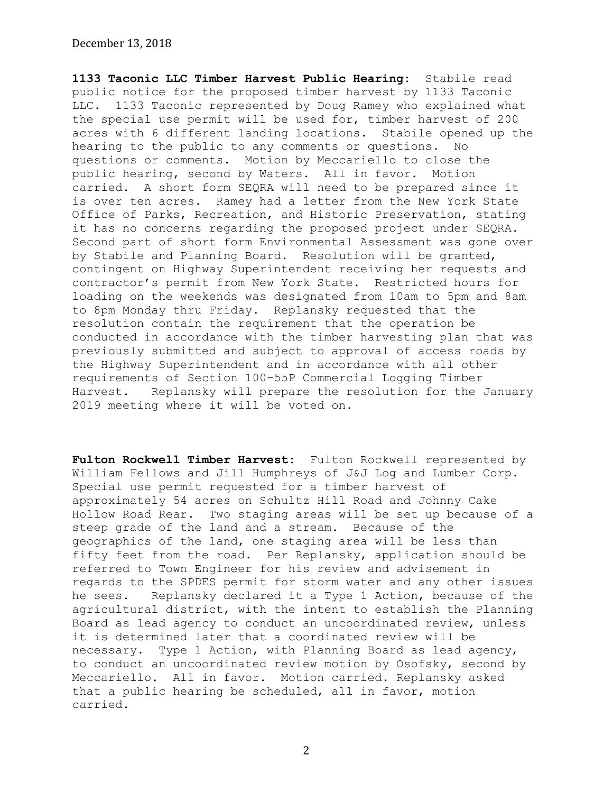**1133 Taconic LLC Timber Harvest Public Hearing:** Stabile read public notice for the proposed timber harvest by 1133 Taconic LLC. 1133 Taconic represented by Doug Ramey who explained what the special use permit will be used for, timber harvest of 200 acres with 6 different landing locations. Stabile opened up the hearing to the public to any comments or questions. No questions or comments. Motion by Meccariello to close the public hearing, second by Waters. All in favor. Motion carried. A short form SEQRA will need to be prepared since it is over ten acres. Ramey had a letter from the New York State Office of Parks, Recreation, and Historic Preservation, stating it has no concerns regarding the proposed project under SEQRA. Second part of short form Environmental Assessment was gone over by Stabile and Planning Board. Resolution will be granted, contingent on Highway Superintendent receiving her requests and contractor's permit from New York State. Restricted hours for loading on the weekends was designated from 10am to 5pm and 8am to 8pm Monday thru Friday. Replansky requested that the resolution contain the requirement that the operation be conducted in accordance with the timber harvesting plan that was previously submitted and subject to approval of access roads by the Highway Superintendent and in accordance with all other requirements of Section 100-55P Commercial Logging Timber Harvest. Replansky will prepare the resolution for the January 2019 meeting where it will be voted on.

**Fulton Rockwell Timber Harvest:** Fulton Rockwell represented by William Fellows and Jill Humphreys of J&J Log and Lumber Corp. Special use permit requested for a timber harvest of approximately 54 acres on Schultz Hill Road and Johnny Cake Hollow Road Rear. Two staging areas will be set up because of a steep grade of the land and a stream. Because of the geographics of the land, one staging area will be less than fifty feet from the road. Per Replansky, application should be referred to Town Engineer for his review and advisement in regards to the SPDES permit for storm water and any other issues he sees. Replansky declared it a Type 1 Action, because of the agricultural district, with the intent to establish the Planning Board as lead agency to conduct an uncoordinated review, unless it is determined later that a coordinated review will be necessary. Type 1 Action, with Planning Board as lead agency, to conduct an uncoordinated review motion by Osofsky, second by Meccariello. All in favor. Motion carried. Replansky asked that a public hearing be scheduled, all in favor, motion carried.